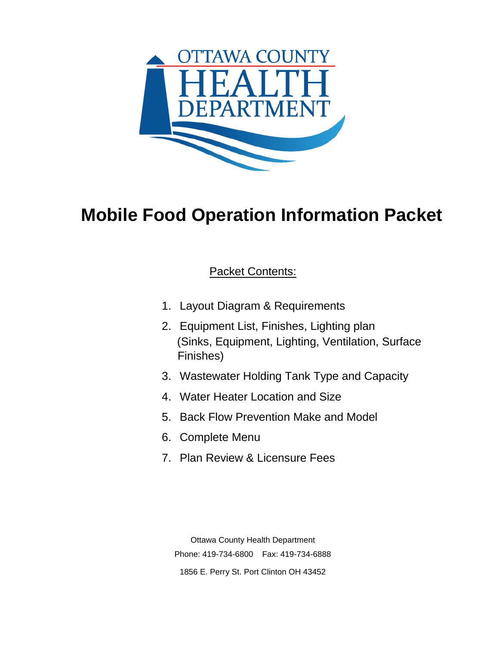

# **Mobile Food Operation Information Packet**

### Packet Contents:

- 1. Layout Diagram & Requirements
- 2. Equipment List, Finishes, Lighting plan (Sinks, Equipment, Lighting, Ventilation, Surface Finishes)
- 3. Wastewater Holding Tank Type and Capacity
- 4. Water Heater Location and Size
- 5. Back Flow Prevention Make and Model
- 6. Complete Menu
- 7. Plan Review & Licensure Fees

Ottawa County Health Department Phone: 419-734-6800 Fax: 419-734-6888 1856 E. Perry St. Port Clinton OH 43452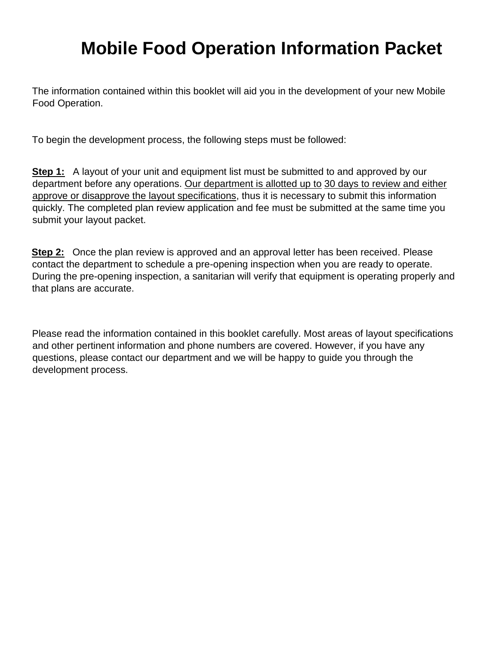## **Mobile Food Operation Information Packet**

The information contained within this booklet will aid you in the development of your new Mobile Food Operation.

To begin the development process, the following steps must be followed:

**Step 1:** A layout of your unit and equipment list must be submitted to and approved by our department before any operations. Our department is allotted up to 30 days to review and either approve or disapprove the layout specifications, thus it is necessary to submit this information quickly. The completed plan review application and fee must be submitted at the same time you submit your layout packet.

**Step 2:** Once the plan review is approved and an approval letter has been received. Please contact the department to schedule a pre-opening inspection when you are ready to operate. During the pre-opening inspection, a sanitarian will verify that equipment is operating properly and that plans are accurate.

Please read the information contained in this booklet carefully. Most areas of layout specifications and other pertinent information and phone numbers are covered. However, if you have any questions, please contact our department and we will be happy to guide you through the development process.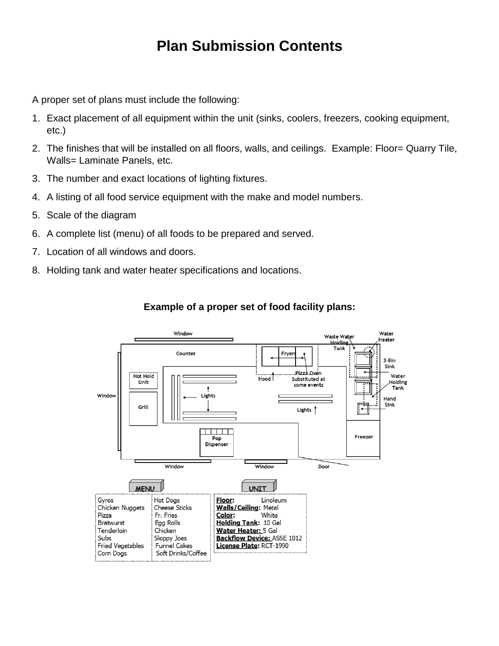### **Plan Submission Contents**

A proper set of plans must include the following:

- 1. Exact placement of all equipment within the unit (sinks, coolers, freezers, cooking equipment, etc.)
- 2. The finishes that will be installed on all floors, walls, and ceilings. Example: Floor= Quarry Tile, Walls= Laminate Panels, etc.
- 3. The number and exact locations of lighting fixtures.
- 4. A listing of all food service equipment with the make and model numbers.
- 5. Scale of the diagram
- 6. A complete list (menu) of all foods to be prepared and served.
- 7. Location of all windows and doors.
- 8. Holding tank and water heater specifications and locations.



### **Example of a proper set of food facility plans:**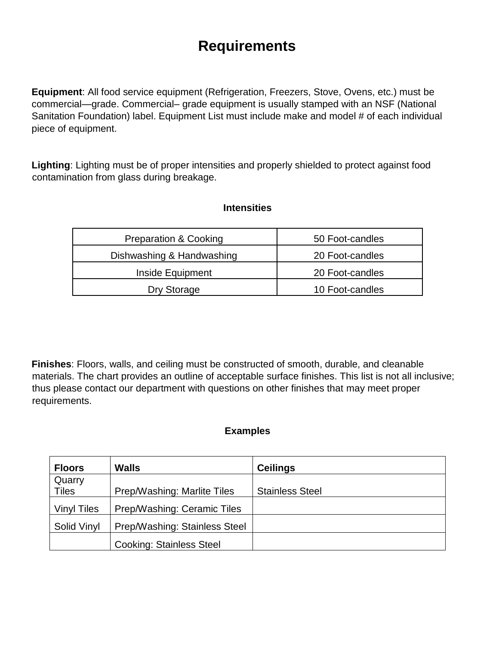## **Requirements**

**Equipment**: All food service equipment (Refrigeration, Freezers, Stove, Ovens, etc.) must be commercial—grade. Commercial– grade equipment is usually stamped with an NSF (National Sanitation Foundation) label. Equipment List must include make and model # of each individual piece of equipment.

**Lighting**: Lighting must be of proper intensities and properly shielded to protect against food contamination from glass during breakage.

#### **Intensities**

| Preparation & Cooking     | 50 Foot-candles |
|---------------------------|-----------------|
| Dishwashing & Handwashing | 20 Foot-candles |
| Inside Equipment          | 20 Foot-candles |
| Dry Storage               | 10 Foot-candles |

**Finishes**: Floors, walls, and ceiling must be constructed of smooth, durable, and cleanable materials. The chart provides an outline of acceptable surface finishes. This list is not all inclusive; thus please contact our department with questions on other finishes that may meet proper requirements.

#### **Examples**

| <b>Floors</b>      | Walls                           | <b>Ceilings</b>        |
|--------------------|---------------------------------|------------------------|
| Quarry             |                                 |                        |
| <b>Tiles</b>       | Prep/Washing: Marlite Tiles     | <b>Stainless Steel</b> |
| <b>Vinyl Tiles</b> | Prep/Washing: Ceramic Tiles     |                        |
| Solid Vinyl        | Prep/Washing: Stainless Steel   |                        |
|                    | <b>Cooking: Stainless Steel</b> |                        |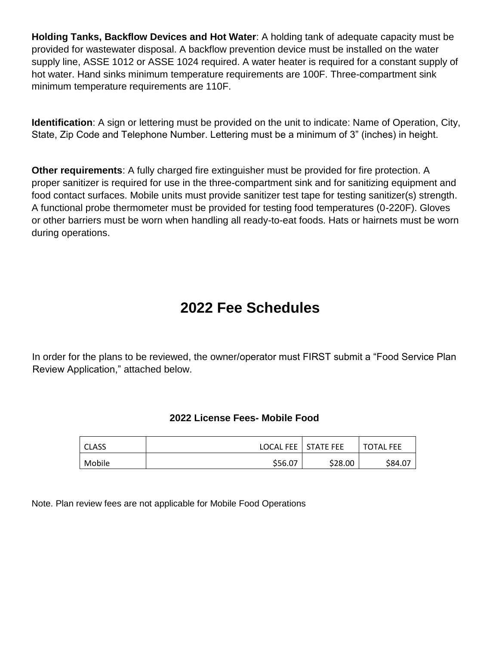**Holding Tanks, Backflow Devices and Hot Water**: A holding tank of adequate capacity must be provided for wastewater disposal. A backflow prevention device must be installed on the water supply line, ASSE 1012 or ASSE 1024 required. A water heater is required for a constant supply of hot water. Hand sinks minimum temperature requirements are 100F. Three-compartment sink minimum temperature requirements are 110F.

**Identification**: A sign or lettering must be provided on the unit to indicate: Name of Operation, City, State, Zip Code and Telephone Number. Lettering must be a minimum of 3" (inches) in height.

**Other requirements**: A fully charged fire extinguisher must be provided for fire protection. A proper sanitizer is required for use in the three-compartment sink and for sanitizing equipment and food contact surfaces. Mobile units must provide sanitizer test tape for testing sanitizer(s) strength. A functional probe thermometer must be provided for testing food temperatures (0-220F). Gloves or other barriers must be worn when handling all ready-to-eat foods. Hats or hairnets must be worn during operations.

## **2022 Fee Schedules**

In order for the plans to be reviewed, the owner/operator must FIRST submit a "Food Service Plan Review Application," attached below.

#### **2022 License Fees- Mobile Food**

| <b>CLASS</b> |         | LOCAL FEE   STATE FEE | <b>TOTAL FEE</b> |
|--------------|---------|-----------------------|------------------|
| Mobile       | \$56.07 | \$28.00               | \$84.07          |

Note. Plan review fees are not applicable for Mobile Food Operations